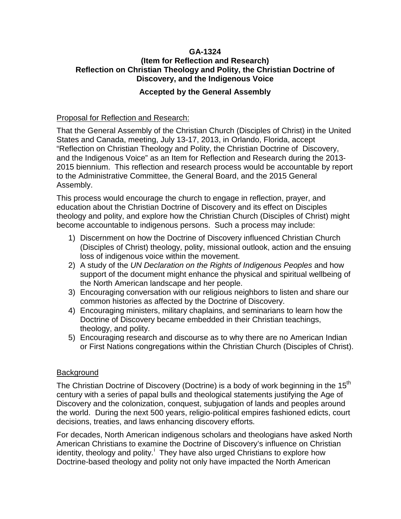## **GA-1324 (Item for Reflection and Research) Reflection on Christian Theology and Polity, the Christian Doctrine of Discovery, and the Indigenous Voice**

## **Accepted by the General Assembly**

## Proposal for Reflection and Research:

That the General Assembly of the Christian Church (Disciples of Christ) in the United States and Canada, meeting, July 13-17, 2013, in Orlando, Florida, accept "Reflection on Christian Theology and Polity, the Christian Doctrine of Discovery, and the Indigenous Voice" as an Item for Reflection and Research during the 2013- 2015 biennium. This reflection and research process would be accountable by report to the Administrative Committee, the General Board, and the 2015 General Assembly.

This process would encourage the church to engage in reflection, prayer, and education about the Christian Doctrine of Discovery and its effect on Disciples theology and polity, and explore how the Christian Church (Disciples of Christ) might become accountable to indigenous persons. Such a process may include:

- 1) Discernment on how the Doctrine of Discovery influenced Christian Church (Disciples of Christ) theology, polity, missional outlook, action and the ensuing loss of indigenous voice within the movement.
- 2) A study of the *UN Declaration on the Rights of Indigenous Peoples* and how support of the document might enhance the physical and spiritual wellbeing of the North American landscape and her people.
- 3) Encouraging conversation with our religious neighbors to listen and share our common histories as affected by the Doctrine of Discovery.
- 4) Encouraging ministers, military chaplains, and seminarians to learn how the Doctrine of Discovery became embedded in their Christian teachings, theology, and polity.
- 5) Encouraging research and discourse as to why there are no American Indian or First Nations congregations within the Christian Church (Disciples of Christ).

## Background

The Christian Doctrine of Discovery (Doctrine) is a body of work beginning in the 15<sup>th</sup> century with a series of papal bulls and theological statements justifying the Age of Discovery and the colonization, conquest, subjugation of lands and peoples around the world. During the next 500 years, religio-political empires fashioned edicts, court decisions, treaties, and laws enhancing discovery efforts.

For decades, North American indigenous scholars and theologians have asked North American Christians to examine the Doctrine of Discovery's influence on Christian [i](#page-1-0)dentity, theology and polity.<sup>i</sup> They have also urged Christians to explore how Doctrine-based theology and polity not only have impacted the North American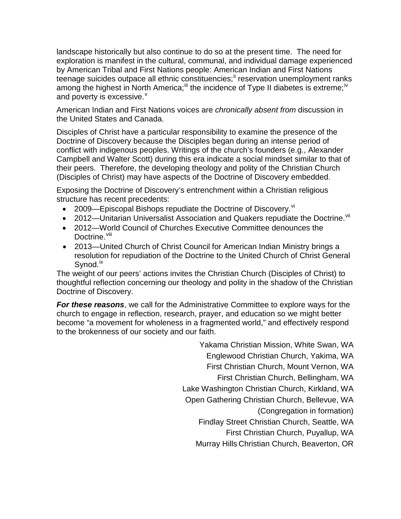<span id="page-1-0"></span>landscape historically but also continue to do so at the present time. The need for exploration is manifest in the cultural, communal, and individual damage experienced by American Tribal and First Nations people: American Indian and First Nations teenage suicides outpace all ethnic constituencies;<sup>[ii](#page-2-0)</sup> reservation unemployment ranks among the highest in North America;<sup>[iii](#page-2-1)</sup> the incidence of Type II diabetes is extreme;<sup>[iv](#page-2-2)</sup> and po[v](#page-2-3)erty is excessive.<sup>v</sup>

American Indian and First Nations voices are *chronically absent from* discussion in the United States and Canada.

Disciples of Christ have a particular responsibility to examine the presence of the Doctrine of Discovery because the Disciples began during an intense period of conflict with indigenous peoples. Writings of the church's founders (e.g., Alexander Campbell and Walter Scott) during this era indicate a social mindset similar to that of their peers. Therefore, the developing theology and polity of the Christian Church (Disciples of Christ) may have aspects of the Doctrine of Discovery embedded.

Exposing the Doctrine of Discovery's entrenchment within a Christian religious structure has recent precedents:

- 2009—Episcopal Bishops repudiate the Doctrine of Discovery.  $\frac{v}{x}$
- 2012—Unitarian Universalist Association and Quakers repudiate the Doctrine. Vil
- 2012—World Council of Churches Executive Committee denounces the Doctrine.<sup>[viii](#page-2-6)</sup>
- 2013—United Church of Christ Council for American Indian Ministry brings a resolution for repudiation of the Doctrine to the United Church of Christ General Synod.<sup>[ix](#page-2-7)</sup>

The weight of our peers' actions invites the Christian Church (Disciples of Christ) to thoughtful reflection concerning our theology and polity in the shadow of the Christian Doctrine of Discovery.

*For these reasons*, we call for the Administrative Committee to explore ways for the church to engage in reflection, research, prayer, and education so we might better become "a movement for wholeness in a fragmented world," and effectively respond to the brokenness of our society and our faith.

> Yakama Christian Mission, White Swan, WA Englewood Christian Church, Yakima, WA First Christian Church, Mount Vernon, WA First Christian Church, Bellingham, WA Lake Washington Christian Church, Kirkland, WA Open Gathering Christian Church, Bellevue, WA (Congregation in formation) Findlay Street Christian Church, Seattle, WA First Christian Church, Puyallup, WA Murray Hills Christian Church, Beaverton, OR